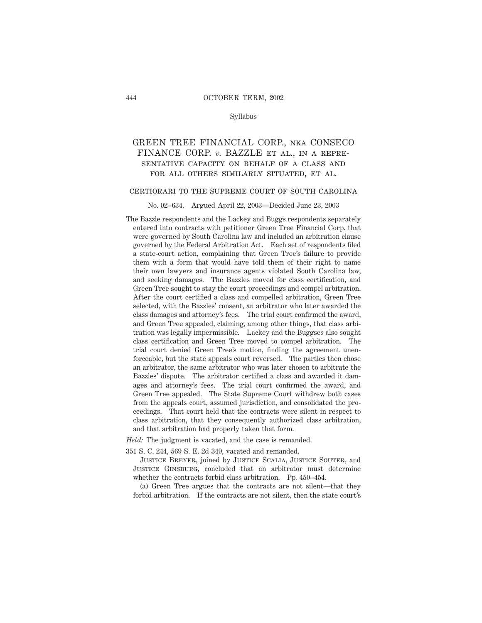## Syllabus

# GREEN TREE FINANCIAL CORP., nka CONSECO FINANCE CORP. *v.* BAZZLE ET AL., IN A REPREsentative capacity on behalf of a class and FOR ALL OTHERS SIMILARLY SITUATED, ET AL.

# certiorari to the supreme court of south carolina

#### No. 02–634. Argued April 22, 2003—Decided June 23, 2003

The Bazzle respondents and the Lackey and Buggs respondents separately entered into contracts with petitioner Green Tree Financial Corp. that were governed by South Carolina law and included an arbitration clause governed by the Federal Arbitration Act. Each set of respondents filed a state-court action, complaining that Green Tree's failure to provide them with a form that would have told them of their right to name their own lawyers and insurance agents violated South Carolina law, and seeking damages. The Bazzles moved for class certification, and Green Tree sought to stay the court proceedings and compel arbitration. After the court certified a class and compelled arbitration, Green Tree selected, with the Bazzles' consent, an arbitrator who later awarded the class damages and attorney's fees. The trial court confirmed the award, and Green Tree appealed, claiming, among other things, that class arbitration was legally impermissible. Lackey and the Buggses also sought class certification and Green Tree moved to compel arbitration. The trial court denied Green Tree's motion, finding the agreement unenforceable, but the state appeals court reversed. The parties then chose an arbitrator, the same arbitrator who was later chosen to arbitrate the Bazzles' dispute. The arbitrator certified a class and awarded it damages and attorney's fees. The trial court confirmed the award, and Green Tree appealed. The State Supreme Court withdrew both cases from the appeals court, assumed jurisdiction, and consolidated the proceedings. That court held that the contracts were silent in respect to class arbitration, that they consequently authorized class arbitration, and that arbitration had properly taken that form.

*Held:* The judgment is vacated, and the case is remanded.

351 S. C. 244, 569 S. E. 2d 349, vacated and remanded.

Justice Breyer, joined by Justice Scalia, Justice Souter, and JUSTICE GINSBURG, concluded that an arbitrator must determine whether the contracts forbid class arbitration. Pp. 450–454.

(a) Green Tree argues that the contracts are not silent—that they forbid arbitration. If the contracts are not silent, then the state court's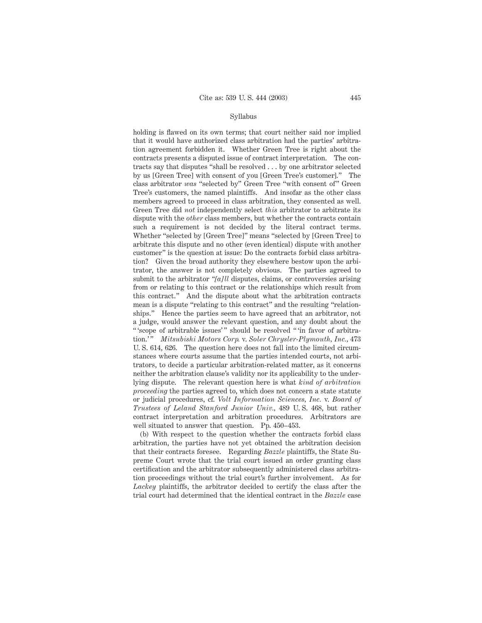## Syllabus

holding is flawed on its own terms; that court neither said nor implied that it would have authorized class arbitration had the parties' arbitration agreement forbidden it. Whether Green Tree is right about the contracts presents a disputed issue of contract interpretation. The contracts say that disputes "shall be resolved . . . by one arbitrator selected by us [Green Tree] with consent of you [Green Tree's customer]." The class arbitrator *was* "selected by" Green Tree "with consent of" Green Tree's customers, the named plaintiffs. And insofar as the other class members agreed to proceed in class arbitration, they consented as well. Green Tree did *not* independently select *this* arbitrator to arbitrate its dispute with the *other* class members, but whether the contracts contain such a requirement is not decided by the literal contract terms. Whether "selected by [Green Tree]" means "selected by [Green Tree] to arbitrate this dispute and no other (even identical) dispute with another customer" is the question at issue: Do the contracts forbid class arbitration? Given the broad authority they elsewhere bestow upon the arbitrator, the answer is not completely obvious. The parties agreed to submit to the arbitrator "[a]ll disputes, claims, or controversies arising from or relating to this contract or the relationships which result from this contract." And the dispute about what the arbitration contracts mean is a dispute "relating to this contract" and the resulting "relationships." Hence the parties seem to have agreed that an arbitrator, not a judge, would answer the relevant question, and any doubt about the " scope of arbitrable issues'" should be resolved " 'in favor of arbitration." Mitsubishi Motors Corp. v. Soler Chrysler-Plymouth, Inc., 473 U. S. 614, 626. The question here does not fall into the limited circumstances where courts assume that the parties intended courts, not arbitrators, to decide a particular arbitration-related matter, as it concerns neither the arbitration clause's validity nor its applicability to the underlying dispute. The relevant question here is what *kind of arbitration proceeding* the parties agreed to, which does not concern a state statute or judicial procedures, cf. *Volt Information Sciences, Inc.* v. *Board of Trustees of Leland Stanford Junior Univ.,* 489 U. S. 468, but rather contract interpretation and arbitration procedures. Arbitrators are well situated to answer that question. Pp. 450–453.

(b) With respect to the question whether the contracts forbid class arbitration, the parties have not yet obtained the arbitration decision that their contracts foresee. Regarding *Bazzle* plaintiffs, the State Supreme Court wrote that the trial court issued an order granting class certification and the arbitrator subsequently administered class arbitration proceedings without the trial court's further involvement. As for *Lackey* plaintiffs, the arbitrator decided to certify the class after the trial court had determined that the identical contract in the *Bazzle* case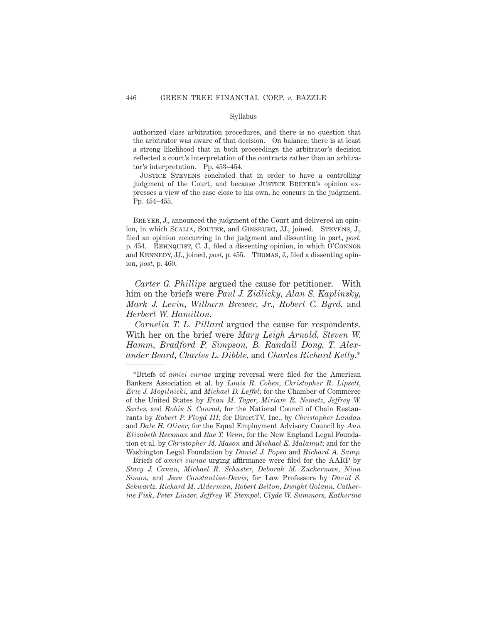## Syllabus

authorized class arbitration procedures, and there is no question that the arbitrator was aware of that decision. On balance, there is at least a strong likelihood that in both proceedings the arbitrator's decision reflected a court's interpretation of the contracts rather than an arbitrator's interpretation. Pp. 453–454.

Justice Stevens concluded that in order to have a controlling judgment of the Court, and because Justice Breyer's opinion expresses a view of the case close to his own, he concurs in the judgment. Pp. 454–455.

Breyer, J., announced the judgment of the Court and delivered an opinion, in which SCALIA, SOUTER, and GINSBURG, JJ., joined. STEVENS, J., filed an opinion concurring in the judgment and dissenting in part, *post,* p. 454. REHNQUIST, C. J., filed a dissenting opinion, in which O'CONNOR and KENNEDY, JJ., joined, *post*, p. 455. THOMAS, J., filed a dissenting opinion, *post,* p. 460.

*Carter G. Phillips* argued the cause for petitioner. With him on the briefs were *Paul J. Zidlicky, Alan S. Kaplinsky, Mark J. Levin, Wilburn Brewer, Jr., Robert C. Byrd,* and *Herbert W. Hamilton.*

*Cornelia T. L. Pillard* argued the cause for respondents. With her on the brief were *Mary Leigh Arnold, Steven W. Hamm, Bradford P. Simpson, B. Randall Dong, T. Alexander Beard, Charles L. Dibble,* and *Charles Richard Kelly.*\*

Briefs of *amici curiae* urging affirmance were filed for the AARP by *Stacy J. Canan, Michael R. Schuster, Deborah M. Zuckerman, Nina Simon,* and *Jean Constantine-Davis;* for Law Professors by *David S. Schwartz, Richard M. Alderman, Robert Belton, Dwight Golann, Catherine Fisk, Peter Linzer, Jeffrey W. Stempel, Clyde W. Summers, Katherine*

<sup>\*</sup>Briefs of *amici curiae* urging reversal were filed for the American Bankers Association et al. by *Louis R. Cohen, Christopher R. Lipsett, Eric J. Mogilnicki,* and *Michael D. Leffel;* for the Chamber of Commerce of the United States by *Evan M. Tager, Miriam R. Nemetz, Jeffrey W. Sarles,* and *Robin S. Conrad;* for the National Council of Chain Restaurants by *Robert P. Floyd III;* for DirectTV, Inc., by *Christopher Landau* and *Dale H. Oliver;* for the Equal Employment Advisory Council by *Ann Elizabeth Reesman* and *Rae T. Vann;* for the New England Legal Foundation et al. by *Christopher M. Mason* and *Michael E. Malamut;* and for the Washington Legal Foundation by *Daniel J. Popeo* and *Richard A. Samp.*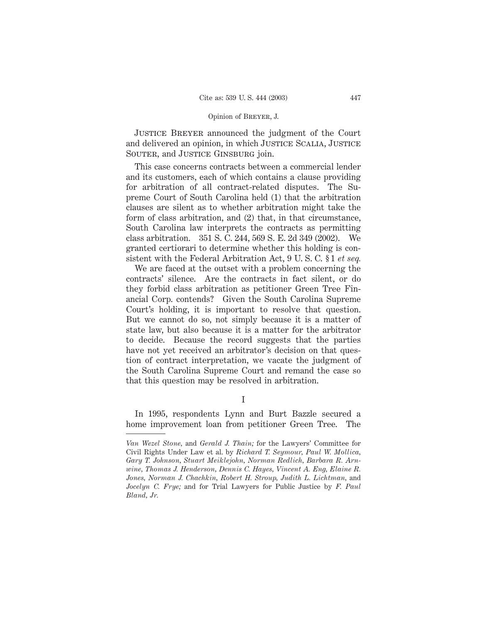Justice Breyer announced the judgment of the Court and delivered an opinion, in which JUSTICE SCALIA, JUSTICE SOUTER, and JUSTICE GINSBURG join.

This case concerns contracts between a commercial lender and its customers, each of which contains a clause providing for arbitration of all contract-related disputes. The Supreme Court of South Carolina held (1) that the arbitration clauses are silent as to whether arbitration might take the form of class arbitration, and (2) that, in that circumstance, South Carolina law interprets the contracts as permitting class arbitration. 351 S. C. 244, 569 S. E. 2d 349 (2002). We granted certiorari to determine whether this holding is consistent with the Federal Arbitration Act, 9 U. S. C. § 1 *et seq.*

We are faced at the outset with a problem concerning the contracts' silence. Are the contracts in fact silent, or do they forbid class arbitration as petitioner Green Tree Financial Corp. contends? Given the South Carolina Supreme Court's holding, it is important to resolve that question. But we cannot do so, not simply because it is a matter of state law, but also because it is a matter for the arbitrator to decide. Because the record suggests that the parties have not yet received an arbitrator's decision on that question of contract interpretation, we vacate the judgment of the South Carolina Supreme Court and remand the case so that this question may be resolved in arbitration.

I

In 1995, respondents Lynn and Burt Bazzle secured a home improvement loan from petitioner Green Tree. The

*Van Wezel Stone,* and *Gerald J. Thain;* for the Lawyers' Committee for Civil Rights Under Law et al. by *Richard T. Seymour, Paul W. Mollica, Gary T. Johnson, Stuart Meiklejohn, Norman Redlich, Barbara R. Arnwine, Thomas J. Henderson, Dennis C. Hayes, Vincent A. Eng, Elaine R. Jones, Norman J. Chachkin, Robert H. Stroup, Judith L. Lichtman,* and *Jocelyn C. Frye;* and for Trial Lawyers for Public Justice by *F. Paul Bland, Jr.*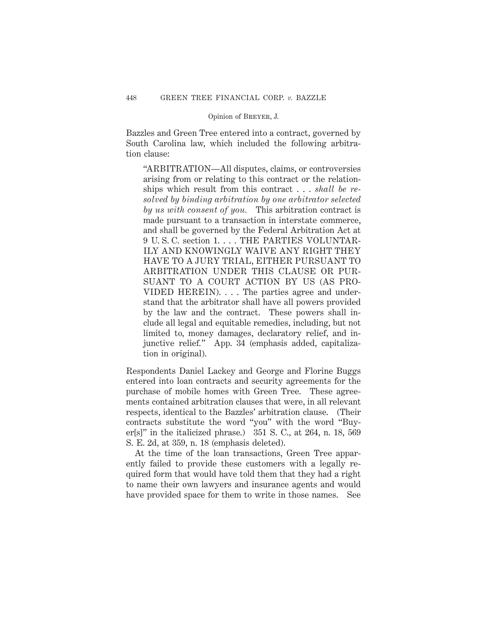Bazzles and Green Tree entered into a contract, governed by South Carolina law, which included the following arbitration clause:

"ARBITRATION—All disputes, claims, or controversies arising from or relating to this contract or the relationships which result from this contract . . . *shall be resolved by binding arbitration by one arbitrator selected by us with consent of you.* This arbitration contract is made pursuant to a transaction in interstate commerce, and shall be governed by the Federal Arbitration Act at 9 U. S. C. section 1. . . . THE PARTIES VOLUNTAR-ILY AND KNOWINGLY WAIVE ANY RIGHT THEY HAVE TO A JURY TRIAL, EITHER PURSUANT TO ARBITRATION UNDER THIS CLAUSE OR PUR-SUANT TO A COURT ACTION BY US (AS PRO-VIDED HEREIN). . . . The parties agree and understand that the arbitrator shall have all powers provided by the law and the contract. These powers shall include all legal and equitable remedies, including, but not limited to, money damages, declaratory relief, and injunctive relief." App. 34 (emphasis added, capitalization in original).

Respondents Daniel Lackey and George and Florine Buggs entered into loan contracts and security agreements for the purchase of mobile homes with Green Tree. These agreements contained arbitration clauses that were, in all relevant respects, identical to the Bazzles' arbitration clause. (Their contracts substitute the word "you" with the word "Buyer[s]" in the italicized phrase.)  $351$  S. C., at 264, n. 18, 569 S. E. 2d, at 359, n. 18 (emphasis deleted).

At the time of the loan transactions, Green Tree apparently failed to provide these customers with a legally required form that would have told them that they had a right to name their own lawyers and insurance agents and would have provided space for them to write in those names. See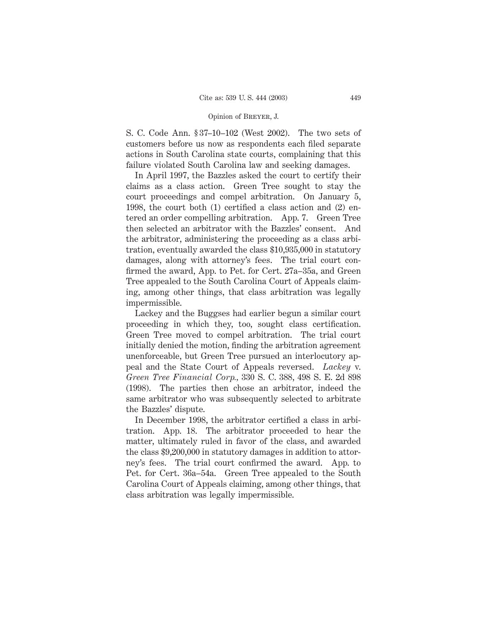S. C. Code Ann. § 37–10–102 (West 2002). The two sets of customers before us now as respondents each filed separate actions in South Carolina state courts, complaining that this failure violated South Carolina law and seeking damages.

In April 1997, the Bazzles asked the court to certify their claims as a class action. Green Tree sought to stay the court proceedings and compel arbitration. On January 5, 1998, the court both (1) certified a class action and (2) entered an order compelling arbitration. App. 7. Green Tree then selected an arbitrator with the Bazzles' consent. And the arbitrator, administering the proceeding as a class arbitration, eventually awarded the class \$10,935,000 in statutory damages, along with attorney's fees. The trial court confirmed the award, App. to Pet. for Cert. 27a–35a, and Green Tree appealed to the South Carolina Court of Appeals claiming, among other things, that class arbitration was legally impermissible.

Lackey and the Buggses had earlier begun a similar court proceeding in which they, too, sought class certification. Green Tree moved to compel arbitration. The trial court initially denied the motion, finding the arbitration agreement unenforceable, but Green Tree pursued an interlocutory appeal and the State Court of Appeals reversed. *Lackey* v. *Green Tree Financial Corp.,* 330 S. C. 388, 498 S. E. 2d 898 (1998). The parties then chose an arbitrator, indeed the same arbitrator who was subsequently selected to arbitrate the Bazzles' dispute.

In December 1998, the arbitrator certified a class in arbitration. App. 18. The arbitrator proceeded to hear the matter, ultimately ruled in favor of the class, and awarded the class \$9,200,000 in statutory damages in addition to attorney's fees. The trial court confirmed the award. App. to Pet. for Cert. 36a–54a. Green Tree appealed to the South Carolina Court of Appeals claiming, among other things, that class arbitration was legally impermissible.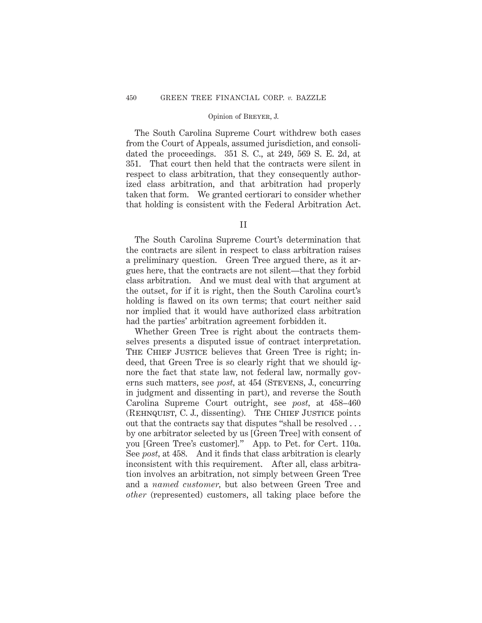The South Carolina Supreme Court withdrew both cases from the Court of Appeals, assumed jurisdiction, and consolidated the proceedings. 351 S. C., at 249, 569 S. E. 2d, at 351. That court then held that the contracts were silent in respect to class arbitration, that they consequently authorized class arbitration, and that arbitration had properly taken that form. We granted certiorari to consider whether that holding is consistent with the Federal Arbitration Act.

II

The South Carolina Supreme Court's determination that the contracts are silent in respect to class arbitration raises a preliminary question. Green Tree argued there, as it argues here, that the contracts are not silent—that they forbid class arbitration. And we must deal with that argument at the outset, for if it is right, then the South Carolina court's holding is flawed on its own terms; that court neither said nor implied that it would have authorized class arbitration had the parties' arbitration agreement forbidden it.

Whether Green Tree is right about the contracts themselves presents a disputed issue of contract interpretation. THE CHIEF JUSTICE believes that Green Tree is right; indeed, that Green Tree is so clearly right that we should ignore the fact that state law, not federal law, normally governs such matters, see *post,* at 454 (Stevens, J., concurring in judgment and dissenting in part), and reverse the South Carolina Supreme Court outright, see *post,* at 458–460 (Rehnquist, C. J., dissenting). The Chief Justice points out that the contracts say that disputes "shall be resolved . . . by one arbitrator selected by us [Green Tree] with consent of you [Green Tree's customer]." App. to Pet. for Cert. 110a. See *post,* at 458. And it finds that class arbitration is clearly inconsistent with this requirement. After all, class arbitration involves an arbitration, not simply between Green Tree and a *named customer,* but also between Green Tree and *other* (represented) customers, all taking place before the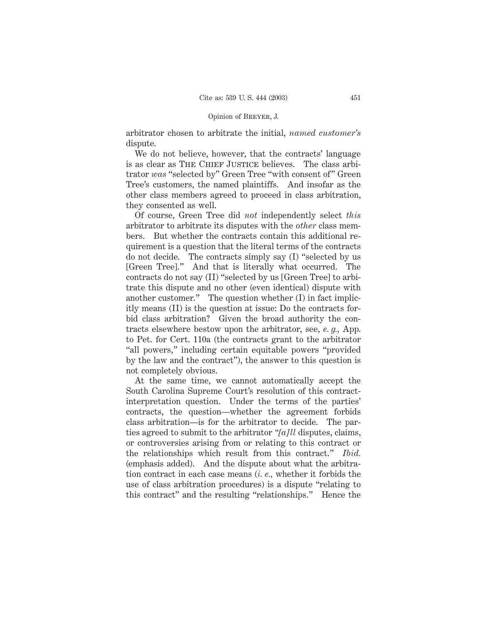arbitrator chosen to arbitrate the initial, *named customer's* dispute.

We do not believe, however, that the contracts' language is as clear as THE CHIEF JUSTICE believes. The class arbitrator *was* "selected by" Green Tree "with consent of" Green Tree's customers, the named plaintiffs. And insofar as the other class members agreed to proceed in class arbitration, they consented as well.

Of course, Green Tree did *not* independently select *this* arbitrator to arbitrate its disputes with the *other* class members. But whether the contracts contain this additional requirement is a question that the literal terms of the contracts do not decide. The contracts simply say (I) "selected by us [Green Tree]." And that is literally what occurred. The contracts do not say (II) "selected by us [Green Tree] to arbitrate this dispute and no other (even identical) dispute with another customer." The question whether (I) in fact implicitly means (II) is the question at issue: Do the contracts forbid class arbitration? Given the broad authority the contracts elsewhere bestow upon the arbitrator, see, *e. g.,* App. to Pet. for Cert. 110a (the contracts grant to the arbitrator "all powers," including certain equitable powers "provided by the law and the contract"), the answer to this question is not completely obvious.

At the same time, we cannot automatically accept the South Carolina Supreme Court's resolution of this contractinterpretation question. Under the terms of the parties' contracts, the question—whether the agreement forbids class arbitration—is for the arbitrator to decide. The parties agreed to submit to the arbitrator *"[a]ll* disputes, claims, or controversies arising from or relating to this contract or the relationships which result from this contract." *Ibid.* (emphasis added). And the dispute about what the arbitration contract in each case means (*i. e.,* whether it forbids the use of class arbitration procedures) is a dispute "relating to this contract" and the resulting "relationships." Hence the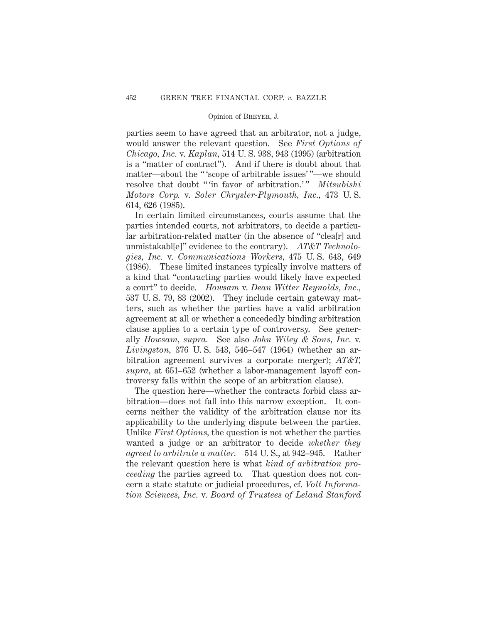parties seem to have agreed that an arbitrator, not a judge, would answer the relevant question. See *First Options of Chicago, Inc.* v. *Kaplan,* 514 U. S. 938, 943 (1995) (arbitration is a "matter of contract"). And if there is doubt about that matter—about the " 'scope of arbitrable issues' "—we should resolve that doubt "'in favor of arbitration.'" *Mitsubishi Motors Corp.* v. *Soler Chrysler-Plymouth, Inc.,* 473 U. S. 614, 626 (1985).

In certain limited circumstances, courts assume that the parties intended courts, not arbitrators, to decide a particular arbitration-related matter (in the absence of "clea[r] and unmistakabl[e]" evidence to the contrary). *AT&T Technologies, Inc.* v. *Communications Workers,* 475 U. S. 643, 649 (1986). These limited instances typically involve matters of a kind that "contracting parties would likely have expected a court" to decide. *Howsam* v. *Dean Witter Reynolds, Inc.,* 537 U. S. 79, 83 (2002). They include certain gateway matters, such as whether the parties have a valid arbitration agreement at all or whether a concededly binding arbitration clause applies to a certain type of controversy. See generally *Howsam, supra.* See also *John Wiley & Sons, Inc.* v. *Livingston,* 376 U. S. 543, 546–547 (1964) (whether an arbitration agreement survives a corporate merger); *AT&T, supra,* at 651–652 (whether a labor-management layoff controversy falls within the scope of an arbitration clause).

The question here—whether the contracts forbid class arbitration—does not fall into this narrow exception. It concerns neither the validity of the arbitration clause nor its applicability to the underlying dispute between the parties. Unlike *First Options,* the question is not whether the parties wanted a judge or an arbitrator to decide *whether they agreed to arbitrate a matter.* 514 U. S., at 942–945. Rather the relevant question here is what *kind of arbitration proceeding* the parties agreed to. That question does not concern a state statute or judicial procedures, cf. *Volt Information Sciences, Inc.* v. *Board of Trustees of Leland Stanford*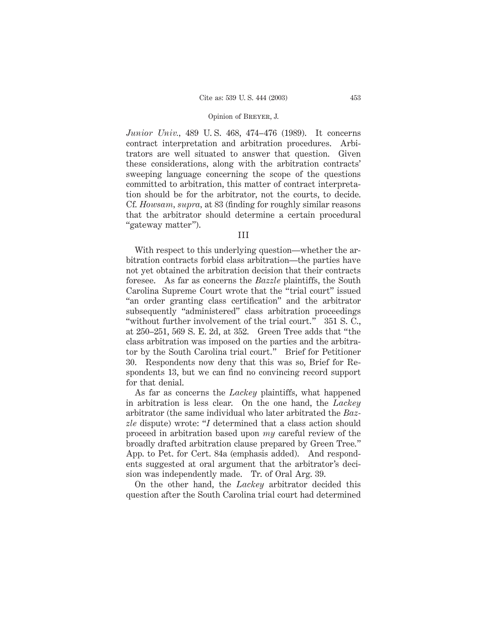*Junior Univ.,* 489 U. S. 468, 474–476 (1989). It concerns contract interpretation and arbitration procedures. Arbitrators are well situated to answer that question. Given these considerations, along with the arbitration contracts' sweeping language concerning the scope of the questions committed to arbitration, this matter of contract interpretation should be for the arbitrator, not the courts, to decide. Cf. *Howsam, supra,* at 83 (finding for roughly similar reasons that the arbitrator should determine a certain procedural "gateway matter").

III

With respect to this underlying question—whether the arbitration contracts forbid class arbitration—the parties have not yet obtained the arbitration decision that their contracts foresee. As far as concerns the *Bazzle* plaintiffs, the South Carolina Supreme Court wrote that the "trial court" issued "an order granting class certification" and the arbitrator subsequently "administered" class arbitration proceedings "without further involvement of the trial court." 351 S. C., at 250–251, 569 S. E. 2d, at 352. Green Tree adds that "the class arbitration was imposed on the parties and the arbitrator by the South Carolina trial court." Brief for Petitioner 30. Respondents now deny that this was so, Brief for Respondents 13, but we can find no convincing record support for that denial.

As far as concerns the *Lackey* plaintiffs, what happened in arbitration is less clear. On the one hand, the *Lackey* arbitrator (the same individual who later arbitrated the *Bazzle* dispute) wrote: "*I* determined that a class action should proceed in arbitration based upon *my* careful review of the broadly drafted arbitration clause prepared by Green Tree." App. to Pet. for Cert. 84a (emphasis added). And respondents suggested at oral argument that the arbitrator's decision was independently made. Tr. of Oral Arg. 39.

On the other hand, the *Lackey* arbitrator decided this question after the South Carolina trial court had determined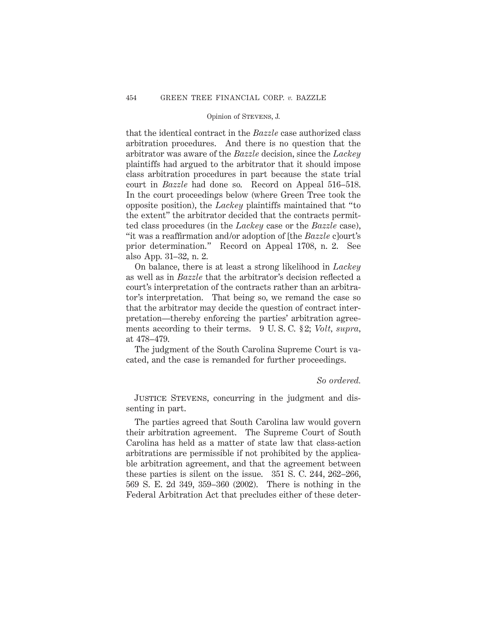## Opinion of Stevens, J.

that the identical contract in the *Bazzle* case authorized class arbitration procedures. And there is no question that the arbitrator was aware of the *Bazzle* decision, since the *Lackey* plaintiffs had argued to the arbitrator that it should impose class arbitration procedures in part because the state trial court in *Bazzle* had done so. Record on Appeal 516–518. In the court proceedings below (where Green Tree took the opposite position), the *Lackey* plaintiffs maintained that "to the extent" the arbitrator decided that the contracts permitted class procedures (in the *Lackey* case or the *Bazzle* case), "it was a reaffirmation and/or adoption of [the *Bazzle* c]ourt's prior determination." Record on Appeal 1708, n. 2. See also App. 31–32, n. 2.

On balance, there is at least a strong likelihood in *Lackey* as well as in *Bazzle* that the arbitrator's decision reflected a court's interpretation of the contracts rather than an arbitrator's interpretation. That being so, we remand the case so that the arbitrator may decide the question of contract interpretation—thereby enforcing the parties' arbitration agreements according to their terms. 9 U. S. C. § 2; *Volt, supra,* at 478–479.

The judgment of the South Carolina Supreme Court is vacated, and the case is remanded for further proceedings.

# *So ordered.*

JUSTICE STEVENS, concurring in the judgment and dissenting in part.

The parties agreed that South Carolina law would govern their arbitration agreement. The Supreme Court of South Carolina has held as a matter of state law that class-action arbitrations are permissible if not prohibited by the applicable arbitration agreement, and that the agreement between these parties is silent on the issue. 351 S. C. 244, 262–266, 569 S. E. 2d 349, 359–360 (2002). There is nothing in the Federal Arbitration Act that precludes either of these deter-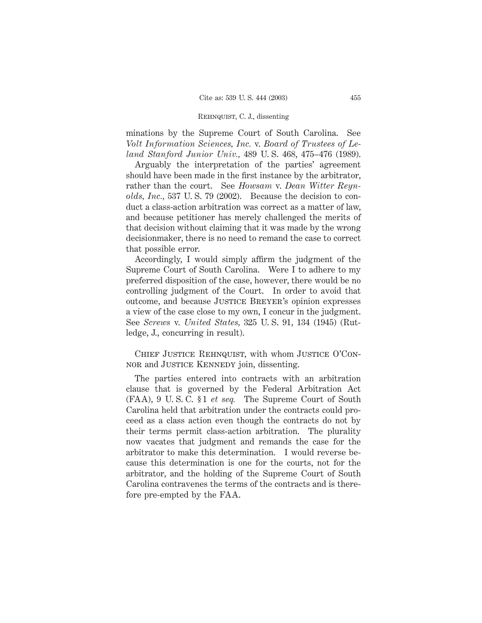minations by the Supreme Court of South Carolina. See *Volt Information Sciences, Inc.* v. *Board of Trustees of Leland Stanford Junior Univ.,* 489 U. S. 468, 475–476 (1989).

Arguably the interpretation of the parties' agreement should have been made in the first instance by the arbitrator, rather than the court. See *Howsam* v. *Dean Witter Reynolds, Inc.,* 537 U. S. 79 (2002). Because the decision to conduct a class-action arbitration was correct as a matter of law, and because petitioner has merely challenged the merits of that decision without claiming that it was made by the wrong decisionmaker, there is no need to remand the case to correct that possible error.

Accordingly, I would simply affirm the judgment of the Supreme Court of South Carolina. Were I to adhere to my preferred disposition of the case, however, there would be no controlling judgment of the Court. In order to avoid that outcome, and because Justice Breyer's opinion expresses a view of the case close to my own, I concur in the judgment. See *Screws* v. *United States,* 325 U. S. 91, 134 (1945) (Rutledge, J., concurring in result).

Chief Justice Rehnquist, with whom Justice O'Connor and Justice Kennedy join, dissenting.

The parties entered into contracts with an arbitration clause that is governed by the Federal Arbitration Act (FAA), 9 U. S. C. § 1 *et seq.* The Supreme Court of South Carolina held that arbitration under the contracts could proceed as a class action even though the contracts do not by their terms permit class-action arbitration. The plurality now vacates that judgment and remands the case for the arbitrator to make this determination. I would reverse because this determination is one for the courts, not for the arbitrator, and the holding of the Supreme Court of South Carolina contravenes the terms of the contracts and is therefore pre-empted by the FAA.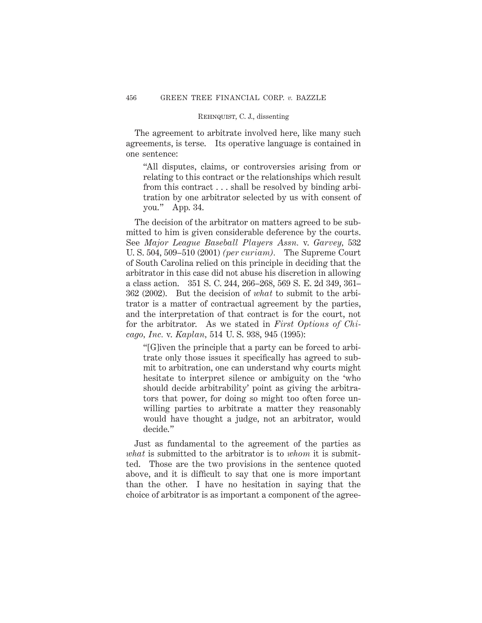The agreement to arbitrate involved here, like many such agreements, is terse. Its operative language is contained in one sentence:

"All disputes, claims, or controversies arising from or relating to this contract or the relationships which result from this contract . . . shall be resolved by binding arbitration by one arbitrator selected by us with consent of you." App. 34.

The decision of the arbitrator on matters agreed to be submitted to him is given considerable deference by the courts. See *Major League Baseball Players Assn.* v. *Garvey,* 532 U. S. 504, 509–510 (2001) *(per curiam).* The Supreme Court of South Carolina relied on this principle in deciding that the arbitrator in this case did not abuse his discretion in allowing a class action. 351 S. C. 244, 266–268, 569 S. E. 2d 349, 361– 362 (2002). But the decision of *what* to submit to the arbitrator is a matter of contractual agreement by the parties, and the interpretation of that contract is for the court, not for the arbitrator. As we stated in *First Options of Chicago, Inc.* v. *Kaplan,* 514 U. S. 938, 945 (1995):

"[G]iven the principle that a party can be forced to arbitrate only those issues it specifically has agreed to submit to arbitration, one can understand why courts might hesitate to interpret silence or ambiguity on the 'who should decide arbitrability' point as giving the arbitrators that power, for doing so might too often force unwilling parties to arbitrate a matter they reasonably would have thought a judge, not an arbitrator, would decide."

Just as fundamental to the agreement of the parties as *what* is submitted to the arbitrator is to *whom* it is submitted. Those are the two provisions in the sentence quoted above, and it is difficult to say that one is more important than the other. I have no hesitation in saying that the choice of arbitrator is as important a component of the agree-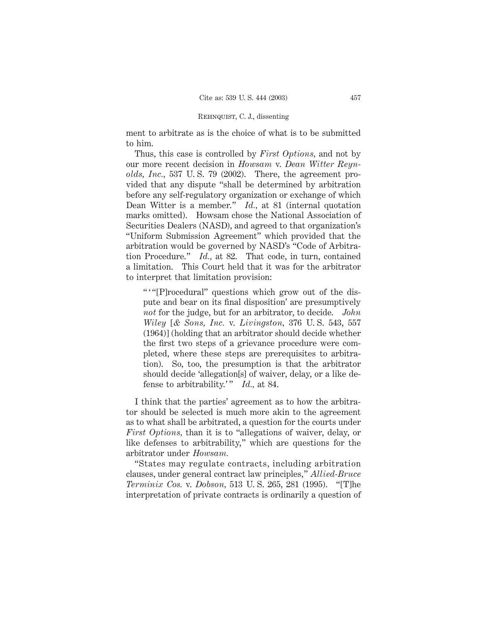ment to arbitrate as is the choice of what is to be submitted to him.

Thus, this case is controlled by *First Options,* and not by our more recent decision in *Howsam* v. *Dean Witter Reynolds, Inc.,* 537 U. S. 79 (2002). There, the agreement provided that any dispute "shall be determined by arbitration before any self-regulatory organization or exchange of which Dean Witter is a member." *Id.,* at 81 (internal quotation marks omitted). Howsam chose the National Association of Securities Dealers (NASD), and agreed to that organization's "Uniform Submission Agreement" which provided that the arbitration would be governed by NASD's "Code of Arbitration Procedure." *Id.,* at 82. That code, in turn, contained a limitation. This Court held that it was for the arbitrator to interpret that limitation provision:

"" "[P]rocedural" questions which grow out of the dispute and bear on its final disposition' are presumptively *not* for the judge, but for an arbitrator, to decide. *John Wiley* [*& Sons, Inc.* v. *Livingston,* 376 U. S. 543, 557 (1964)] (holding that an arbitrator should decide whether the first two steps of a grievance procedure were completed, where these steps are prerequisites to arbitration). So, too, the presumption is that the arbitrator should decide 'allegation[s] of waiver, delay, or a like defense to arbitrability.'" *Id.*, at 84.

I think that the parties' agreement as to how the arbitrator should be selected is much more akin to the agreement as to what shall be arbitrated, a question for the courts under *First Options,* than it is to "allegations of waiver, delay, or like defenses to arbitrability," which are questions for the arbitrator under *Howsam.*

"States may regulate contracts, including arbitration clauses, under general contract law principles," *Allied-Bruce Terminix Cos.* v. *Dobson,* 513 U. S. 265, 281 (1995). "[T]he interpretation of private contracts is ordinarily a question of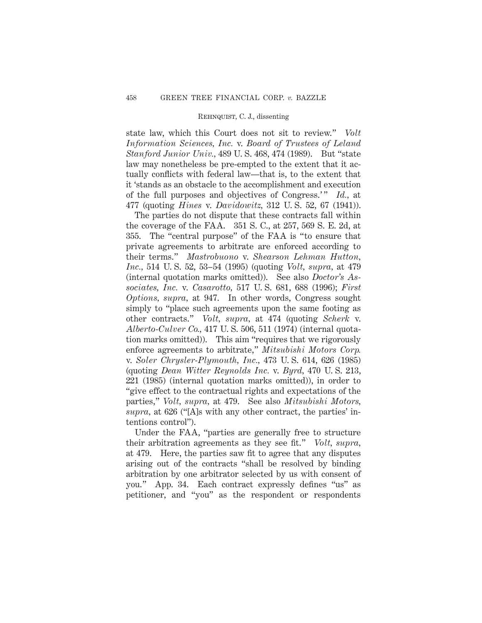state law, which this Court does not sit to review." *Volt Information Sciences, Inc.* v. *Board of Trustees of Leland Stanford Junior Univ.,* 489 U. S. 468, 474 (1989). But "state law may nonetheless be pre-empted to the extent that it actually conflicts with federal law—that is, to the extent that it 'stands as an obstacle to the accomplishment and execution of the full purposes and objectives of Congress.'" *Id.*, at 477 (quoting *Hines* v. *Davidowitz,* 312 U. S. 52, 67 (1941)).

The parties do not dispute that these contracts fall within the coverage of the FAA. 351 S. C., at 257, 569 S. E. 2d, at 355. The "central purpose" of the FAA is "to ensure that private agreements to arbitrate are enforced according to their terms." *Mastrobuono* v. *Shearson Lehman Hutton, Inc.,* 514 U. S. 52, 53–54 (1995) (quoting *Volt, supra,* at 479 (internal quotation marks omitted)). See also *Doctor's Associates, Inc.* v. *Casarotto,* 517 U. S. 681, 688 (1996); *First Options, supra,* at 947. In other words, Congress sought simply to "place such agreements upon the same footing as other contracts." *Volt, supra,* at 474 (quoting *Scherk* v. *Alberto-Culver Co.,* 417 U. S. 506, 511 (1974) (internal quotation marks omitted)). This aim "requires that we rigorously enforce agreements to arbitrate," *Mitsubishi Motors Corp.* v. *Soler Chrysler-Plymouth, Inc.,* 473 U. S. 614, 626 (1985) (quoting *Dean Witter Reynolds Inc.* v. *Byrd,* 470 U. S. 213, 221 (1985) (internal quotation marks omitted)), in order to "give effect to the contractual rights and expectations of the parties," *Volt, supra,* at 479. See also *Mitsubishi Motors, supra,* at 626 ("[A]s with any other contract, the parties' intentions control").

Under the FAA, "parties are generally free to structure their arbitration agreements as they see fit." *Volt, supra,* at 479. Here, the parties saw fit to agree that any disputes arising out of the contracts "shall be resolved by binding arbitration by one arbitrator selected by us with consent of you." App. 34. Each contract expressly defines "us" as petitioner, and "you" as the respondent or respondents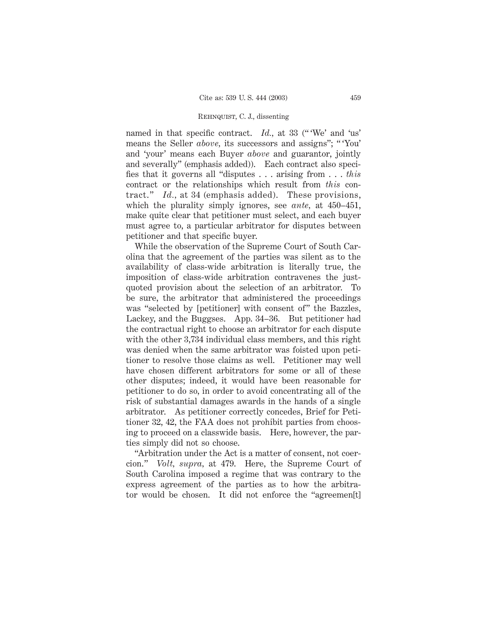named in that specific contract. *Id.*, at 33 ("We' and 'us' means the Seller *above,* its successors and assigns"; " 'You' and 'your' means each Buyer *above* and guarantor, jointly and severally" (emphasis added)). Each contract also specifies that it governs all "disputes . . . arising from . . . *this* contract or the relationships which result from *this* contract." *Id.,* at 34 (emphasis added). These provisions, which the plurality simply ignores, see *ante,* at 450–451, make quite clear that petitioner must select, and each buyer must agree to, a particular arbitrator for disputes between petitioner and that specific buyer.

While the observation of the Supreme Court of South Carolina that the agreement of the parties was silent as to the availability of class-wide arbitration is literally true, the imposition of class-wide arbitration contravenes the justquoted provision about the selection of an arbitrator. To be sure, the arbitrator that administered the proceedings was "selected by [petitioner] with consent of" the Bazzles, Lackey, and the Buggses. App. 34–36. But petitioner had the contractual right to choose an arbitrator for each dispute with the other 3,734 individual class members, and this right was denied when the same arbitrator was foisted upon petitioner to resolve those claims as well. Petitioner may well have chosen different arbitrators for some or all of these other disputes; indeed, it would have been reasonable for petitioner to do so, in order to avoid concentrating all of the risk of substantial damages awards in the hands of a single arbitrator. As petitioner correctly concedes, Brief for Petitioner 32, 42, the FAA does not prohibit parties from choosing to proceed on a classwide basis. Here, however, the parties simply did not so choose.

"Arbitration under the Act is a matter of consent, not coercion." *Volt, supra,* at 479. Here, the Supreme Court of South Carolina imposed a regime that was contrary to the express agreement of the parties as to how the arbitrator would be chosen. It did not enforce the "agreemen[t]